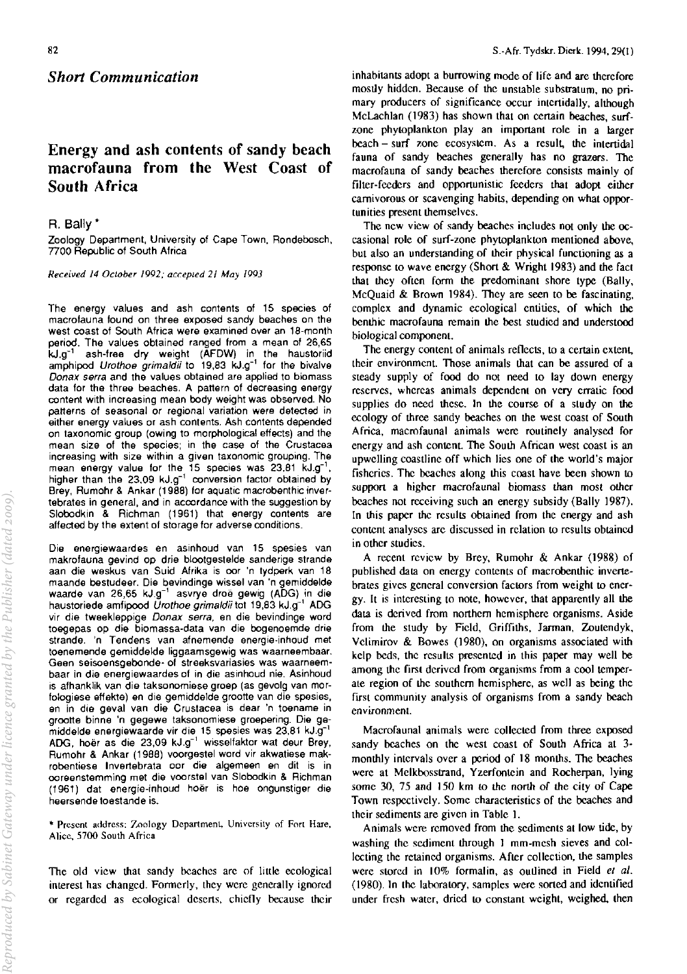*Short Communication* 

# **Energy and ash contents of sandy beach macrofauna from the West Coast of South Africa**

## R. Bally \*

Zoology Department. University of Cape Town. Rondebosch, 7700 Republic of South Africa

*Received* **14** *OClober 1992; accepled 21 May /993* 

**The energy values and ash contents of 15 species of macrofauna found on three exposed sandy beaches on the west coast of South Africa were examined over an 18-month**  period. The values obtained ranged from a mean of 26,65 kJ.g-' ash-free dry weight (AFDW) in the haustoriid amphipod Urothoe grimaldii to 19,83 kJ.g<sup>-1</sup> for the bivalve **Donax serra and the values obtained are applied to biomass**  data for the three beaches. A pattern of decreasing energy **content with increasing mean body weight was observed. No patterns of seasonal** *or* **regional variation were detected in either energy values or ash contents. Ash contents depended**  on taxonomic group (owing to morphological effects) and the **mean size of the species; in the case of the Crustacea increasing with size within a given taxonomic grouping. The**  mean energy value for the 15 species was 23,81 kJ.g-', higher than the 23,09 kJ.g $^{-1}$  conversion factor obtained by Brey, Rumohr & Ankar (1988) for aquatic macrobenthic inver· **tebrates in general, and in accordance with the suggestion by**  Siobodkin & Richman (1961) that energy contents are affected by the extent of storage for adverse oonditions.

**Die energiewaardes en asinhoud van 15 spesies van makrofauna gevind op drie blootgestelde sanderige strande aan die weskus van Suid Afrika is oar 'n tydperk van 18 maande bestudeer. Die bevindinge wissel van 'n gemiddelde**  waarde van 26,65 kJ.g-' asvrye droe gewig (ADG) in die haustoriede amfipood Urothoe grimaldii tot 19,83 kJ.g<sup>-1</sup> ADG vir die tweekleppige Donax serra. en die bevindinge word **toegepas op die biomassa-data van die bogenoemde drie strande. 'n Tendens van afnemende energie-inhoud met toenemende gemiddelde liggaamsgewig was waarneembaar. Geen seisoensgebonde- of streeksvariasies was waarneembaar in die energiewaardes of in die asinhoud nie. Asinhoud is afhanklik van die taksonomiese groep (as gevolg van mor**fologiese effekte) en die gemiddelde grootte van die spesies, **en in die geval van die Crustacea is dear 'n toename in groane binne 'n gegewe taksonomiese groepering. Die ge**middelde energlewaarde vir die 15 spesies was 23,81 kJ.g-1 ADG, hoer as die 23,09 kJ.g-' wisselfaktor wat deur Brey, Rumohr & Ankar (1988) voorgestel word vir akwatiese mak· **robentiese Invertebrata oar die algemeen en dit is in oareenstemming met die voarstel van Siobodkin & Richman**  (1961) dat energie·inhoud hoer is hoe ongunstiger die **heersende toestande is.** 

**>I< Present address: Zoology Department, University of Fort Hare. Alice. 5700 South Africa** 

The old view that sandy beaches arc of little ecological interest has changed. Formerly, they were generally ignored or regarded as ecological deserts, chiefly because their

inhabitants adopt a burrowing mode of life and are therefore mostly hidden. Because of the unstable substratum, no primary producers of significance occur intenidally, although McLachlan (1983) has shown that on certain beaches, surfzone phytoplankton play an imponant role in a larger beach - surf zone ecosystem. As a result, the intertidal fauna of sandy beaches generally has no grazers. The macrofauna of sandy beaches therefore consists mainly of filter·feeders and opponunistic feeders that adopt either carnivorous or scavenging habits, depending on what oppor**tunities present themselves.** 

The new view of sandy beaches includes not only the occasional role of surf-zone phytoplankton mentioned above, but also an understanding of their physical functioning as a response to wave energy (Short  $&$  Wright 1983) and the fact that they often form the predominant shore type (Bally, McQuaid & Brown 1984). They are seen to be fascinating, complex and dynamic ecological entities, of which the benthic macrofauna remain the best studied and understood biological component.

The energy content of animals reflects, to a certain extent, their environment. Those animals that can be assured of a steady supply of food do not need to lay down energy reserves, whereas animals dependent on very erratic food supplies do need these. In the course of a study on the ecology of three sandy beaches on the west coast of South Africa, macrofaunal animals were routinely analysed for energy and ash content. The South African west coast is an upwelling coastline off which lies one of the world's major fisheries. The beaches along this coast have been shown to support a higher macrofaunal biomass than most other beaches not receiving such an energy subsidy (Bally 1987). In this paper the results obtained from the energy and ash **content analyses are discussed in relation to results obtained**  in other studies.

A recent review by Brey, Rumohr & Ankar (1988) of published data on energy contents of macrobenthic invenebrates gives general conversion factors from weight to energy. It is interesting to note, however, that apparently all the data is derived from northern hemisphere organisms. Aside from the study by Field. Griffiths, Jarman, Zoutendyk, Vclimirov & Bowes (1980), on organisms associated with kelp beds, the results presented in this paper may well be among the first derived from organisms from a cool temperate region of the southern hemisphere. as well as being the first community analysis of organisms from a sandy beach **environment** 

Macrofaunal animals were collected from three exposed sandy beaches on the west coast of South Africa at 3· monthly intervals over a period of 18 months. The beaches were at Melkbosstrand, Yzerfontein and Rocherpan, lying some  $30$ ,  $75$  and  $150$  km to the north of the city of Cape Town respectively. Some characteristics of the beaches and their sediments are given in Table I.

Animals were removed from the sediments at low tide, by washing the sediment through 1 mm-mesh sieves and collecting the retained organisms. After collection, the samples were stored in 10% formalin, as outlined in Field et al. (1980). In the laboratory, samples were soned and identified under fresh water, dried to constant weight, weighed, then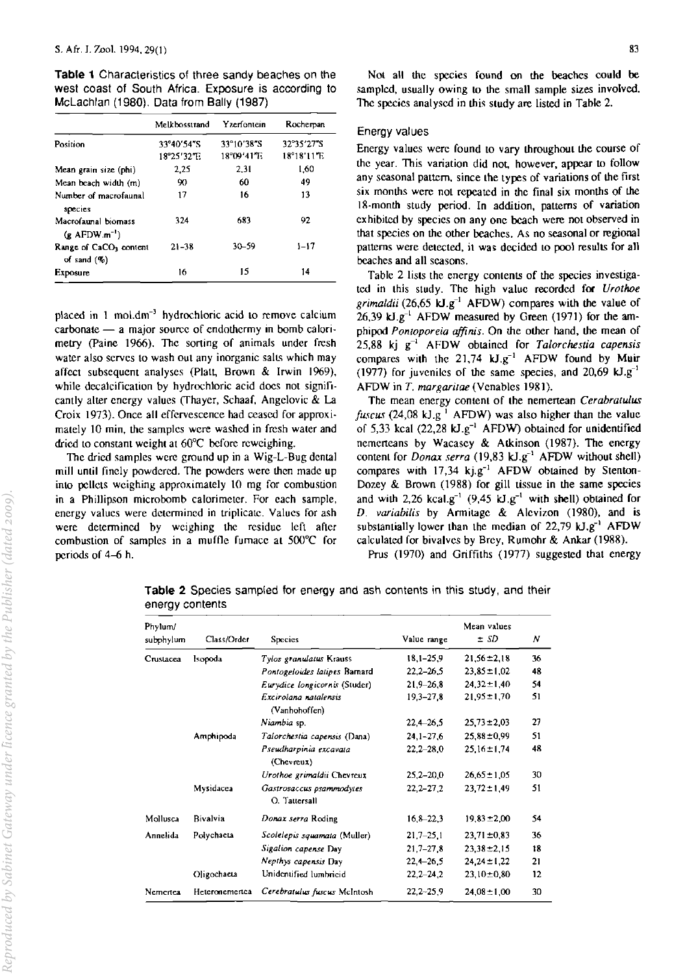Table 1 Characteristics of three sandy beaches on the west coast of South Africa. Exposure is according to McLachlan (1980). Data from Bally (1987)

|                                                      | Melkbosstrand | Yzerfontein | Rocherpan            |
|------------------------------------------------------|---------------|-------------|----------------------|
| Position                                             | 33°40'54"S    | 33°10'38"S  | 32°35'27"S           |
|                                                      | 18°25'32'T.   | 18°09'41'E  | $18^{\circ}18'11''E$ |
| Mean grain size (phi)                                | 2.25          | 2.31        | 1.60                 |
| Mean beach width (m)                                 | 90            | 60          | 49                   |
| Number of macrofaunal<br>species                     | 17            | 16          | 13                   |
| Macrofaunal biomass<br>$(g$ AFDW.m <sup>-1</sup> )   | 324           | 683         | 92                   |
| Range of CaCO <sub>3</sub> content<br>of sand $(\%)$ | $21 - 38$     | $30 - 59$   | $1 - 17$             |
| Exposure                                             | 16            | 15          | 14                   |

placed in 1 mol.dm<sup>-3</sup> hydrochloric acid to remove calcium  $carbonate - a$  major source of endothermy in bomb calorimetry (Paine 1966). The sorting of animals under fresh water also serves to wash out any inorganic salts which may affect subsequent analyses (Platt, Brown & Irwin 1969), while decalcification by hydrochloric acid does not significanlly alter energy values (Thayer, Schaaf, Angelovic & La Croix 1973). Once all effervescence had ceased for approximately 10 min, the samples were washed in fresh water and dried to constant weight at 60°C before reweighing.

The dried samples were ground up in a Wig-L-Bug dental mill until finely powdered. The powders were then made up into pellets weighing approximately 10 mg for combustion in a Phillipson microbomb calorimeler. For each sample, energy values were determined in triplicate. Values for ash were determined by weighing the residue left after combustion of samples in a muffle furnace at 500°C for periods of 4-6 h.

### Energy values

Energy values were found 10 vary throughoul the course of the year. This variation did not, however, appear to follow any seasonal pattern, since the types of variations of the first six months were not repeated in the final six months of the IS-month sludy period, In addition. patterns of variation exhibited by species on any one beach were not observed in that species on the other beaches. As no seasonal or regional patterns were detected, it was decided to pool results for all beaches and all seasons.

Table 2 lists the energy contents of the species investigaled in Ihis study. The high value recorded for *Urothoe grimaldii* (26,65 kJ.g<sup>-1</sup> AFDW) compares with the value of 26,39 kJ.g<sup>-1</sup> AFDW measured by Green (1971) for the amphipod *Pontoporeia affinis*. On the other hand, the mean of 25.88 kj g-I AFDW obtained for *Talorchestia capensis*  compares with the  $21.74 \text{ kJ} \cdot \text{g}^{-1}$  AFDW found by Muir (1977) for juveniles of the same species, and 20,69  $kJ.g^{-1}$ AFDW in *T. margaritae* (Venables 1981).

The mean energy content of Ihe nemertcan *Cerabraculus fuscus* (24,08 kJ.g<sup> $1$ </sup> AFDW) was also higher than the value of 5,33 kcal (22,28  $kJ.g^{-1}$  AFDW) obtained for unidentified nemeneans by Wacasey & Atkinson (1987). The energy content for *Donax serra* (19,83 kJ.g<sup>-1</sup> AFDW without shell) compares with  $17.34 \text{ kj}.g^{-1}$  AFDW obtained by Stenton-Dozey & Brown (1988) for gill tissue in the same species and with 2,26 kcal.g<sup>-1</sup> (9,45 kJ.g<sup>-1</sup> with shell) obtained for *D. variabilis* by Armitage & Alevizon (1980). and is substantially lower than the median of  $22,79$  kJ.g<sup>-1</sup> AFDW calculated for bivalves by Brey, Rumohr & Ankar (1988).

Prus (1970) and Griffiths (1977) suggested that energy

| Phylum/<br>subphylum | Class/Order    | <b>Species</b>                            | Value range   | Mean values<br>$\pm$ SD | Ν  |
|----------------------|----------------|-------------------------------------------|---------------|-------------------------|----|
| Crustacea            | Isopoda        | Tylos granulatus Krauss                   | $18,1 - 25,9$ | $21,56 \pm 2,18$        | 36 |
|                      |                | Pontogeloides latipes Barnard             | $22,2 - 26,5$ | $23.85 \pm 1.02$        | 48 |
|                      |                | Eurydice longicornis (Studer)             | $21,9-26,8$   | $24.32 \pm 1.40$        | 54 |
|                      |                | Excirolana natalensis<br>(Vanhohoffen)    | $19,3 - 27,8$ | $21.95 \pm 1.70$        | 51 |
|                      |                | Niambia sp.                               | $22,4 - 26,5$ | $25.73 \pm 2.03$        | 27 |
|                      | Amphipoda      | Talorchestia capensis (Dana)              | $24,1 - 27,6$ | $25.88 \pm 0.99$        | 51 |
|                      |                | Pseudnarpinia excavata<br>(Chevreux)      | $22,2 - 28,0$ | $25.16 \pm 1.74$        | 48 |
|                      |                | Urothoe grimaldii Chevreux                | $25,2 - 20,0$ | $26,65 \pm 1,05$        | 30 |
|                      | Mysidacea      | Gastrosaccus psammodytes<br>O. Tattersall | $22,2 - 27,2$ | $23,72 \pm 1,49$        | 51 |
| Mollusca             | Bivalvia       | Donax serra Roding                        | $16,8 - 22,3$ | $19.83 \pm 2.00$        | 54 |
| Annelida             | Polychaeta     | Scolelepis squamata (Muller)              | $21.7 - 25.1$ | $23.71 \pm 0.83$        | 36 |
|                      |                | Sigalion capense Day                      | $21,7 - 27,8$ | $23.38 \pm 2.15$        | 18 |
|                      |                | Nepthys capensis Day                      | $22,4 - 26,5$ | $24.24 \pm 1.22$        | 21 |
|                      | Oligochaeta    | Unidentified lumbricid                    | $22,2 - 24,2$ | $23,10\pm0.80$          | 12 |
| Nementea             | Heteronemertea | Cerebratulus fuscus McIntosh              | $22,2 - 25,9$ | $24.08 \pm 1.00$        | 30 |

Table 2 Species sampled for energy and ash contents in this study, and their energy contents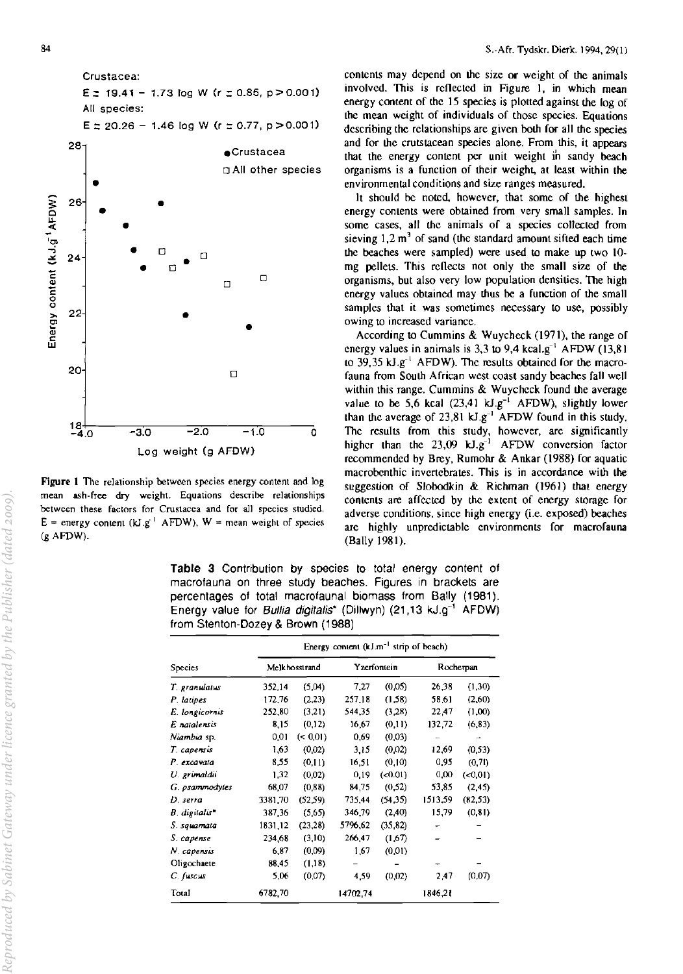

Figure 1 The relationship between species energy content and log mean ash-free dry weight. Equations describe relationships between these factors for Crustacea and for all species studied. E = energy content ( $kJ.g<sup>-1</sup>$  AFDW), W = mean weight of species (g AFDW).

contents may depend on the size or weight of the animals involved. This is reflected in Figure 1, in which mean energy cootent of the 15 species is plotted against the log of the mean weight of individuals of those species. Equations describing the relationships are given both for all the species and for the crutstacean species alone. From this, it appears that the energy content per unit weight in sandy beach organisms is a function of their weight, at least within the environmental conditions and size ranges measured.

It should be noted, however, that some of the highest energy contents were obtained from very small samples. In some cases, all the animals of a species collected from sieving  $1, 2 \text{ m}^3$  of sand (the standard amount sifted each time the beaches were sampled) were used to make up two 10· mg pellets. This reflects not only the small size of the organisms, but also very low population densities. The high energy values obtained may thus be a function of the small samples that it was sometimes necessary to use, possibly owing to increased variance.

According to Cummins & Wuychcck (1971), the range of energy values in animals is 3,3 to 9,4 kcal.g<sup>-1</sup> AFDW (13,81) to 39,35 kJ.g<sup>-1</sup> AFDW). The results obtained for the macrofauna from South African west coast sandy beaches fall well within this range. Cummins & Wuycheck found the average value to be 5,6 kcal  $(23.41 \text{ kJ} \cdot \text{g}^{-1})$  AFDW), slightly lower than the average of  $23.81 \text{ kJ} \cdot \text{g}^{-1}$  AFDW found in this study. The results from this study, however, are significantly higher than the  $23,09$  kJ.g<sup>-1</sup> AFDW conversion factor recommended by Brey, Rumohr & Ankar (1988) for aquatic macrobenthic invenebrates. This is in accordance with the suggestion of Slobodkin & Richman (1961) that energy contents are affected by the extent of energy storage for adverse conditions, since high energy (i.e. exposed) beaches arc highly unpredictable environments for macrofauna (Bally 1981).

Table 3 Contribution by species to total energy content of macrofauna on three study beaches. Figures in brackets are percentages of total macrofaunal biomass from Bally (1981). Energy value for Bullia digitalis\* (Dillwyn) (21,13 kJ.g<sup>-1</sup> AFDW) from Stenton-Dozey & Brown (1988)

|                             | Energy content $(kJ.m^{-1}$ strip of beach) |          |             |         |           |           |
|-----------------------------|---------------------------------------------|----------|-------------|---------|-----------|-----------|
| Species                     | Melkhosstrand                               |          | Yzerfontein |         | Rocherpan |           |
| T. granulatus               | 352 14                                      | (5.04)   | 7,27        | (0.05)  | 26,38     | (1,30)    |
| P. latipes                  | 172,76                                      | (2,23)   | 257,18      | (1.58)  | 58,61     | (2,60)    |
| E. longicornis              | 252.80                                      | (3,21)   | 544,35      | (3,28)  | 22,47     | (0.00)    |
| E natalensis                | 8.15                                        | (0,12)   | 16,67       | (0,11)  | 132,72    | (6, 83)   |
| <i>Niambia</i> sp.          | 0.01                                        | (< 0.01) | 0,69        | (0.03)  |           |           |
| T. capensis                 | 1.63                                        | (0.02)   | 3.15        | (0.02)  | 12.69     | (0,53)    |
| P. excavata                 | 8.55                                        | (0.11)   | 16,51       | (0.10)  | 0.95      | (0, 71)   |
| U. grimaldii                | 1.32                                        | (0.02)   | 0,19        | (.0.01) | 0,00      | $(*0.01)$ |
| G. psammodytes              | 68,07                                       | (0.88)   | 84,75       | (0.52)  | 53,85     | (2,45)    |
| D. serra                    | 3381.70                                     | (52, 59) | 735,44      | (54.35) | 1513,59   | (82, 53)  |
| $B.$ digitalis <sup>*</sup> | 387.36                                      | (5,65)   | 346,79      | (2.40)  | 15,79     | (0, 81)   |
| S. squamata                 | 1831, 12                                    | (23, 28) | 5796,62     | (35.82) |           |           |
| S. capense                  | 234.68                                      | (3,10)   | 266,47      | (1,67)  |           |           |
| N. capensis                 | 6.87                                        | (0.09)   | 1.67        | (0.01)  |           |           |
| Oligochaete                 | 88.45                                       | (1,18)   |             |         |           |           |
| $C.$ fuscus                 | 5.06                                        | (0.07)   | 4.59        | (0.02)  | 2,47      | (0.07)    |
| Total                       | 6782.70                                     |          | 14702.74    |         | 1846,21   |           |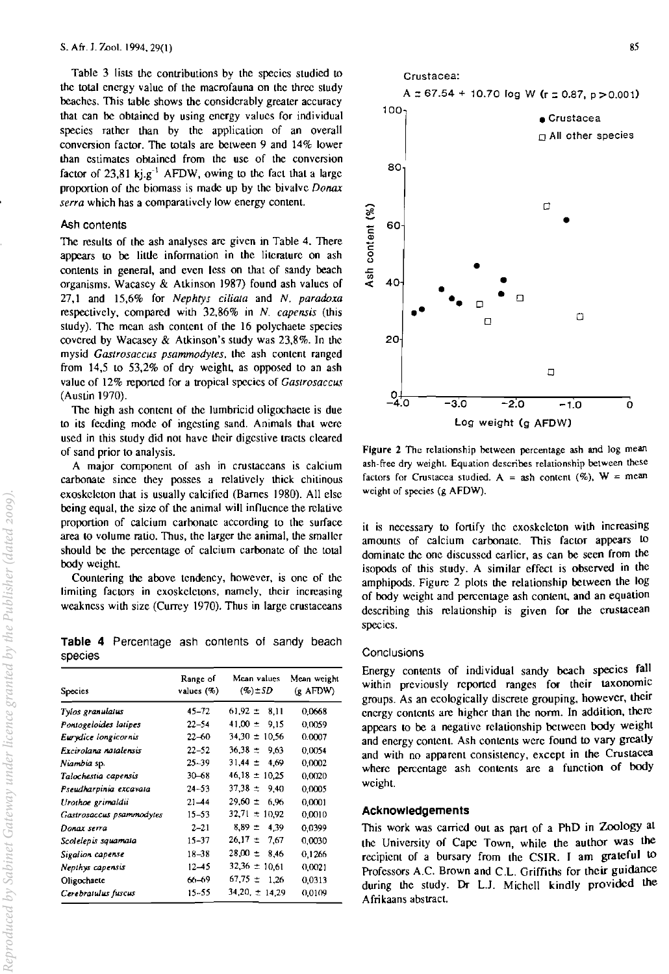Table 3 lists the contributions by the species studied to the total energy value of the macrofauna on the three study beaches. This table shows the considerably greater accuracy that can be obtained by using energy values for individual species rather than by the application of an overall conversion factor. The totals are between 9 and 14% lower than estimates obtained from the use of the conversion factor of 23,81 kj.g<sup>-1</sup> AFDW, owing to the fact that a large proportion of the biomass is made up by the bivalve Donax *serra* which has a comparatively low energy content.

### Ash contents

The results of the ash analyses arc given in Table 4. There appears to be little information in the literature on ash contents in general, and even less on that of sandy beach organisms. Wacasey & Atkinson 1987) found ash values of 27,1 and 15,6% for *Nephtys ciliata* and *N. paradoxa*  respectively, compared with 32,86% in *N. capensis* (this study). The mcan ash content of the 16 polychaete species covered by Wacasey & Atkinson's study was 23,8%. In the mysid *Gastrosaccus psammodytes,* the ash content ranged from  $14,5$  to  $53,2\%$  of dry weight, as opposed to an ash value of 12% reported for a tropical species of *Gastrosaccus*  (Austin 1970).

The high ash content of the lumbricid oligochaete is due to its feeding mode of ingesting sand. Animals that were used in this study did not have their digestive tracts cleared of sand prior to analysis.

**A major component of ash in crustaceans is calcium**  carbonate since they posses a relatively thick chitinous exoskeleton that is usually calcified (Barnes 1980). All else being equal, the size of the animal will influence the relative proportion of calcium carhonate according to the surface area to volume mtio. Thus, the larger the animal, the smaller should be the percentage of calcium carbonate of the total body weight

Countering the above tendency, however, is one of the **limiting factors in exoskeletons, namely, their increasing**  weakness with size (Currey 1970). Thus in large crustaceans

**Table 4** Percentage ash contents of sandy beach species

| <b>Species</b>           | Range of<br>values $(%)$ | Mean values<br>$(9b)$ $\pm$ SD | Mean weight<br>$(R$ AFDW) |  |
|--------------------------|--------------------------|--------------------------------|---------------------------|--|
| Tylos granulatus         | 45-72                    | $61.92 \pm 8.11$               | 0,0668                    |  |
| Pontogeloides latipes    | $22 - 54$                | $41.00 \pm 9.15$               | 0,0059                    |  |
| Eurydice longicornis     | $22 - 60$                | $34.30 \pm 10.56$              | 0.0007                    |  |
| Excirclara ratalensis    | $22 - 52$                | $36.38 \pm 9.63$               | 0.0054                    |  |
| Niambia sp.              | $25 - 39$                | $31.44 \pm 4.69$               | 0,0002                    |  |
| Talochestia capensis     | 30-68                    | $46.18 \pm 10.25$              | 0,0020                    |  |
| Pseudharpinia excavala   | $24 - 53$                | $37.38 \pm 9.40$               | 0,0005                    |  |
| Urothoe grimaldii        | $21 - 44$                | $29.60 \pm 6.96$               | 0,0001                    |  |
| Gastrosaccus psammodytes | $15 - 53$                | $32.71 \pm 10.92$              | 0,0010                    |  |
| Donax serra              | $2 - 21$                 | $8.39 \pm 4.39$                | 0.0399                    |  |
| Scolelepis squamata      | 15–37                    | $26.17 \pm 7.67$               | 0,0030                    |  |
| Sigalion capense         | $18 - 38$                | $28.00 \pm 8.46$               | 0,1266                    |  |
| Nepthys capensis         | $12 - 45$                | $32.36 \pm 10.61$              | 0,0021                    |  |
| Oligochaete              | 66–69                    | $67.75 \pm 1.26$               | 0.0313                    |  |
| Cerebratulus fuscus      | 15–55                    | $34,20 \pm 14,29$              | 0.0109                    |  |



**Figure 2 The rclalionship between percentage ash and log mean**  ash-free dry weight. Equation describes relationship between these factors for Crustacea studied.  $A =$  ash content  $(\%)$ ,  $W =$  mean weight of species (g AFDW).

it is necessary to fonify the exoskeleton with increasing amounts of calcium carbonate. This factor appears to dominate the one discussed earlier, as can be seen from the isopods of this study. A similar effect is observed in the amphipods. Figure 2 plots the relationship between the log of body weight and pereentage ash content, and an equation describing this relationship is given for the crustacean **species.** 

#### **Conclusions**

Energy contents of individual sandy beach species fall within previously reported ranges for their taxonomic groups. As an eCOlogically discrete grouping, however, their energy contents are higher than the norm. In addition, there appears to be a negative relationship between body weight and energy content. Ash contents were found to vary greatly and with no apparent consistency, except in the Crustacea where percentage ash contents are a function of body weight.

#### **Acknowledgements**

This work was earried Out as part of a PhD in Zoology at the University of Cape Town, while the author was the recipient of a bursary from the CSIR. I am grateful to Professors A.C. Brown and C.L. Griffiths for their guidance during the study. Dr L.l. Michell kindly provided the Afrikaans abstract.